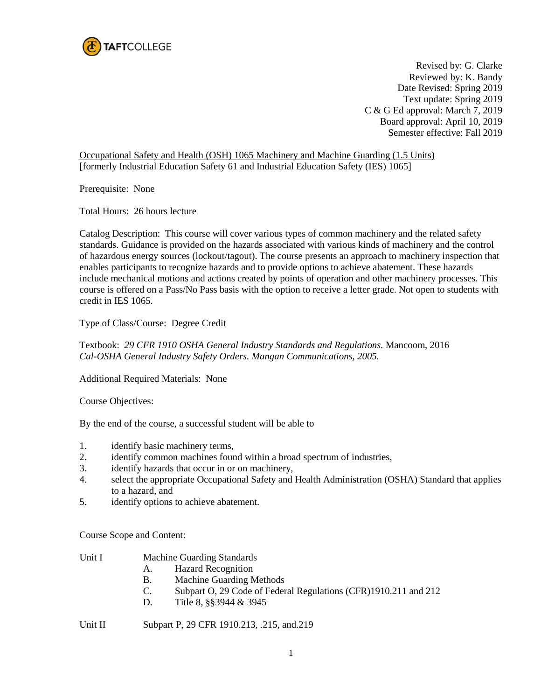

Revised by: G. Clarke Reviewed by: K. Bandy Date Revised: Spring 2019 Text update: Spring 2019 C & G Ed approval: March 7, 2019 Board approval: April 10, 2019 Semester effective: Fall 2019

Occupational Safety and Health (OSH) 1065 Machinery and Machine Guarding (1.5 Units) [formerly Industrial Education Safety 61 and Industrial Education Safety (IES) 1065]

Prerequisite: None

Total Hours: 26 hours lecture

Catalog Description: This course will cover various types of common machinery and the related safety standards. Guidance is provided on the hazards associated with various kinds of machinery and the control of hazardous energy sources (lockout/tagout). The course presents an approach to machinery inspection that enables participants to recognize hazards and to provide options to achieve abatement. These hazards include mechanical motions and actions created by points of operation and other machinery processes. This course is offered on a Pass/No Pass basis with the option to receive a letter grade. Not open to students with credit in IES 1065.

Type of Class/Course: Degree Credit

Textbook: *29 CFR 1910 OSHA General Industry Standards and Regulations.* Mancoom, 2016 *Cal-OSHA General Industry Safety Orders. Mangan Communications, 2005.* 

Additional Required Materials: None

Course Objectives:

By the end of the course, a successful student will be able to

- 1. identify basic machinery terms,
- 2. identify common machines found within a broad spectrum of industries,
- 3. identify hazards that occur in or on machinery,
- 4. select the appropriate Occupational Safety and Health Administration (OSHA) Standard that applies to a hazard, and
- 5. identify options to achieve abatement.

Course Scope and Content:

Unit I Machine Guarding Standards

- A. Hazard Recognition
- B. Machine Guarding Methods
- C. Subpart O, 29 Code of Federal Regulations (CFR)1910.211 and 212
- D. Title 8, §§3944 & 3945

Unit II Subpart P, 29 CFR 1910.213, .215, and 219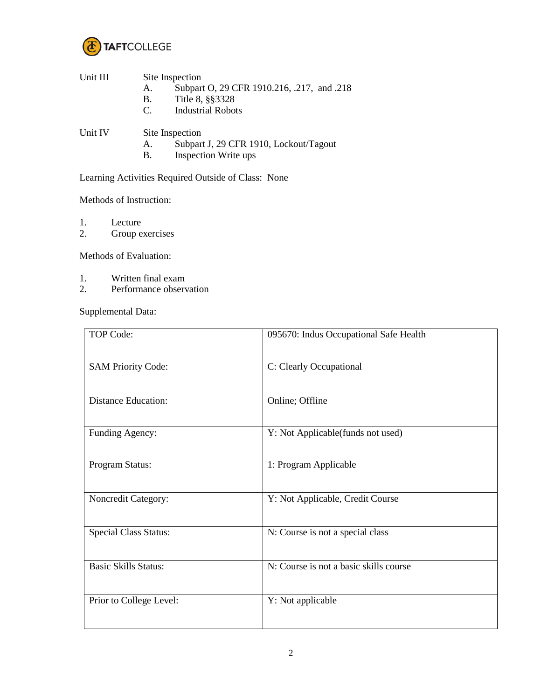

| Unit III | Site Inspection |                                            |  |
|----------|-----------------|--------------------------------------------|--|
|          | А.              | Subpart O, 29 CFR 1910.216, .217, and .218 |  |
|          | B.              | Title 8, §§3328                            |  |
|          | $\mathbf{C}$    | <b>Industrial Robots</b>                   |  |
| Unit IV  | Site Inspection |                                            |  |
|          |                 | $0.1 \t{1.00}$ $0.0$ $0.1010$ $1.1010$     |  |

- A. Subpart J, 29 CFR 1910, Lockout/Tagout
- B. Inspection Write ups

Learning Activities Required Outside of Class: None

Methods of Instruction:

- 1. Lecture<br>2. Group ex
- Group exercises

Methods of Evaluation:

- 1. Written final exam<br>2. Performance observe
- Performance observation

Supplemental Data:

| TOP Code:                    | 095670: Indus Occupational Safe Health |
|------------------------------|----------------------------------------|
| <b>SAM Priority Code:</b>    | C: Clearly Occupational                |
| <b>Distance Education:</b>   | Online; Offline                        |
| Funding Agency:              | Y: Not Applicable(funds not used)      |
| Program Status:              | 1: Program Applicable                  |
| Noncredit Category:          | Y: Not Applicable, Credit Course       |
| <b>Special Class Status:</b> | N: Course is not a special class       |
| <b>Basic Skills Status:</b>  | N: Course is not a basic skills course |
| Prior to College Level:      | Y: Not applicable                      |